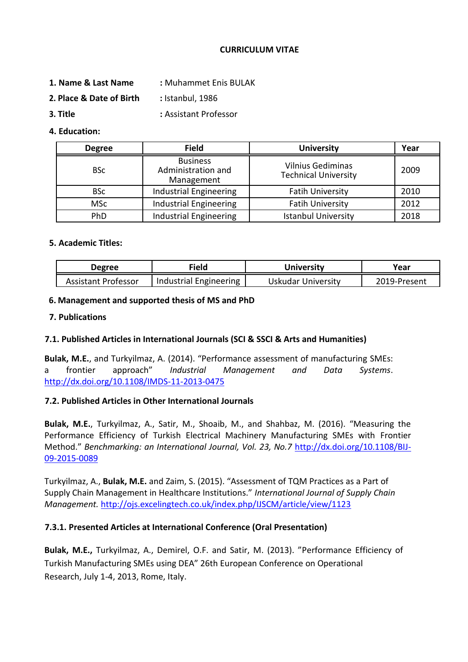### **CURRICULUM VITAE**

- **1. Name & Last Name :** Muhammet Enis BULAK
- **2. Place & Date of Birth :** Istanbul, 1986
- **3. Title :** Assistant Professor

## **4. Education:**

| <b>Degree</b> | <b>Field</b>                                        | <b>University</b>                                       | Year |
|---------------|-----------------------------------------------------|---------------------------------------------------------|------|
| <b>BSc</b>    | <b>Business</b><br>Administration and<br>Management | <b>Vilnius Gediminas</b><br><b>Technical University</b> | 2009 |
| <b>BSc</b>    | <b>Industrial Engineering</b>                       | <b>Fatih University</b>                                 | 2010 |
| <b>MSc</b>    | <b>Industrial Engineering</b>                       | <b>Fatih University</b>                                 | 2012 |
| PhD           | <b>Industrial Engineering</b>                       | <b>Istanbul University</b>                              | 2018 |

## **5. Academic Titles:**

| Degree              | Field                  | Universitv         | Year         |
|---------------------|------------------------|--------------------|--------------|
| Assistant Professor | Industrial Engineering | Uskudar University | 2019-Present |

## **6. Management and supported thesis of MS and PhD**

### **7. Publications**

## **7.1. Published Articles in International Journals (SCI & SSCI & Arts and Humanities)**

**Bulak, M.E.**, and Turkyilmaz, A. (2014). "Performance assessment of manufacturing SMEs: a frontier approach" *Industrial Management and Data Systems*. http://dx.doi.org/10.1108/IMDS-11-2013-0475

#### **7.2. Published Articles in Other International Journals**

**Bulak, M.E.**, Turkyilmaz, A., Satir, M., Shoaib, M., and Shahbaz, M. (2016). "Measuring the Performance Efficiency of Turkish Electrical Machinery Manufacturing SMEs with Frontier Method." *Benchmarking: an International Journal, Vol. 23, No.7* [http://dx.doi.org/10.1108/BIJ-](http://dx.doi.org/10.1108/BIJ-09-2015-0089)[09-2015-0089](http://dx.doi.org/10.1108/BIJ-09-2015-0089)

Turkyilmaz, A., **Bulak, M.E.** and Zaim, S. (2015). "Assessment of TQM Practices as a Part of Supply Chain Management in Healthcare Institutions." *International Journal of Supply Chain Management.* http://ojs.excelingtech.co.uk/index.php/IJSCM/article/view/1123

## **7.3.1. Presented Articles at International Conference (Oral Presentation)**

**Bulak, M.E.,** Turkyilmaz, A., Demirel, O.F. and Satir, M. (2013). "Performance Efficiency of Turkish Manufacturing SMEs using DEA" 26th European Conference on Operational Research, July 1-4, 2013, Rome, Italy.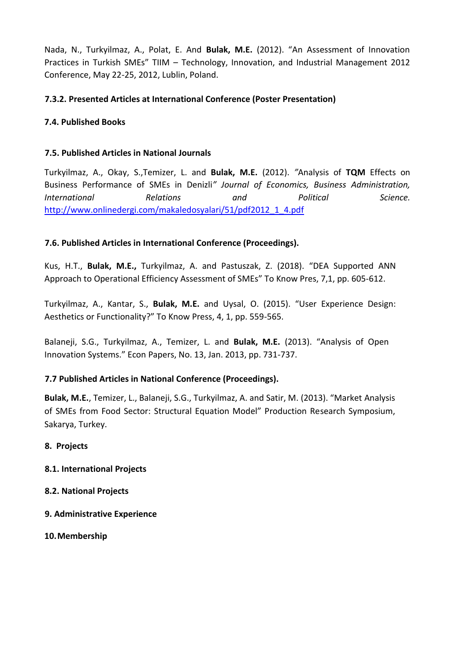Nada, N., Turkyilmaz, A., Polat, E. And **Bulak, M.E.** (2012). "An Assessment of Innovation Practices in Turkish SMEs" TIIM – Technology, Innovation, and Industrial Management 2012 Conference, May 22-25, 2012, Lublin, Poland.

# **7.3.2. Presented Articles at International Conference (Poster Presentation)**

# **7.4. Published Books**

## **7.5. Published Articles in National Journals**

Turkyilmaz, A., Okay, S.,Temizer, L. and **Bulak, M.E.** (2012). *"*Analysis of **TQM** Effects on Business Performance of SMEs in Denizli*" Journal of Economics, Business Administration, International Relations and Political Science.*  [http://www.onlinedergi.com/makaledosyalari/51/pdf2012\\_1\\_4.pdf](http://www.onlinedergi.com/makaledosyalari/51/pdf2012_1_4.pdf)

# **7.6. Published Articles in International Conference (Proceedings).**

Kus, H.T., **Bulak, M.E.,** Turkyilmaz, A. and Pastuszak, Z. (2018). "DEA Supported ANN Approach to Operational Efficiency Assessment of SMEs" To Know Pres, 7,1, pp. 605-612.

Turkyilmaz, A., Kantar, S., **Bulak, M.E.** and Uysal, O. (2015). "User Experience Design: Aesthetics or Functionality?" To Know Press, 4, 1, pp. 559-565.

Balaneji, S.G., Turkyilmaz, A., Temizer, L. and **Bulak, M.E.** (2013). "Analysis of Open Innovation Systems." Econ Papers, No. 13, Jan. 2013, pp. 731-737.

## **7.7 Published Articles in National Conference (Proceedings).**

**Bulak, M.E.**, Temizer, L., Balaneji, S.G., Turkyilmaz, A. and Satir, M. (2013). "Market Analysis of SMEs from Food Sector: Structural Equation Model" Production Research Symposium, Sakarya, Turkey.

- **8. Projects**
- **8.1. International Projects**
- **8.2. National Projects**
- **9. Administrative Experience**
- **10.Membership**